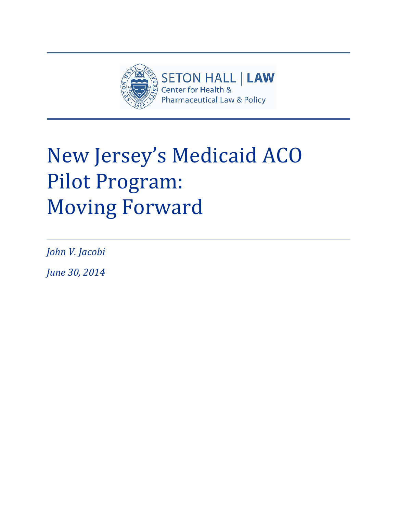

# New Jersey's Medicaid ACO Pilot Program: Moving Forward

*John V. Jacobi* 

*June 30, 2014*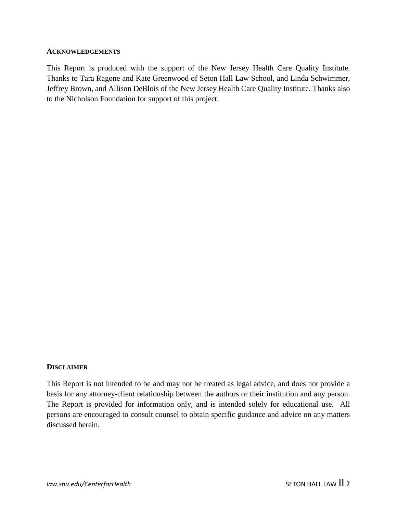#### **ACKNOWLEDGEMENTS**

This Report is produced with the support of the New Jersey Health Care Quality Institute. Thanks to Tara Ragone and Kate Greenwood of Seton Hall Law School, and Linda Schwimmer, Jeffrey Brown, and Allison DeBlois of the New Jersey Health Care Quality Institute. Thanks also to the Nicholson Foundation for support of this project.

#### **DISCLAIMER**

This Report is not intended to be and may not be treated as legal advice, and does not provide a basis for any attorney-client relationship between the authors or their institution and any person. The Report is provided for information only, and is intended solely for educational use. All persons are encouraged to consult counsel to obtain specific guidance and advice on any matters discussed herein.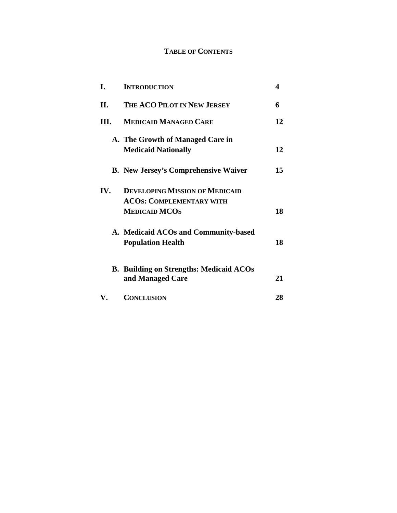# **TABLE OF CONTENTS**

| I.  | <b>INTRODUCTION</b>                                                | 4  |
|-----|--------------------------------------------------------------------|----|
| II. | THE ACO PILOT IN NEW JERSEY                                        | 6  |
| Ш.  | <b>MEDICAID MANAGED CARE</b>                                       | 12 |
|     | A. The Growth of Managed Care in                                   |    |
|     | <b>Medicaid Nationally</b>                                         | 12 |
|     | <b>B.</b> New Jersey's Comprehensive Waiver                        | 15 |
| IV. | <b>DEVELOPING MISSION OF MEDICAID</b>                              |    |
|     | <b>ACOS: COMPLEMENTARY WITH</b>                                    |    |
|     | <b>MEDICAID MCOS</b>                                               | 18 |
|     | A. Medicaid ACOs and Community-based                               |    |
|     | <b>Population Health</b>                                           | 18 |
|     |                                                                    |    |
|     | <b>B. Building on Strengths: Medicaid ACOs</b><br>and Managed Care | 21 |
| V.  | <b>CONCLUSION</b>                                                  | 28 |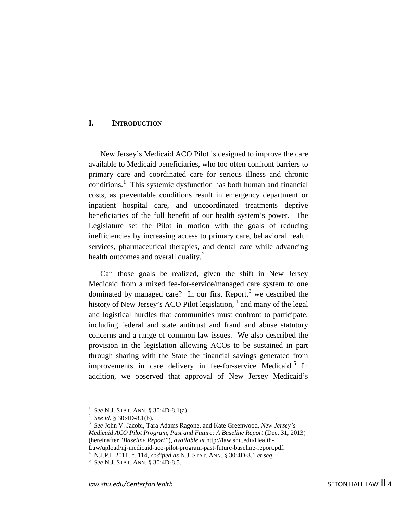## **I. INTRODUCTION**

New Jersey's Medicaid ACO Pilot is designed to improve the care available to Medicaid beneficiaries, who too often confront barriers to primary care and coordinated care for serious illness and chronic conditions.<sup>[1](#page-3-0)</sup> This systemic dysfunction has both human and financial costs, as preventable conditions result in emergency department or inpatient hospital care, and uncoordinated treatments deprive beneficiaries of the full benefit of our health system's power. The Legislature set the Pilot in motion with the goals of reducing inefficiencies by increasing access to primary care, behavioral health services, pharmaceutical therapies, and dental care while advancing health outcomes and overall quality. $^{2}$  $^{2}$  $^{2}$ 

<span id="page-3-5"></span>Can those goals be realized, given the shift in New Jersey Medicaid from a mixed fee-for-service/managed care system to one dominated by managed care? In our first Report, $3$  we described the history of New Jersey's ACO Pilot legislation, <sup>[4](#page-3-3)</sup> and many of the legal and logistical hurdles that communities must confront to participate, including federal and state antitrust and fraud and abuse statutory concerns and a range of common law issues. We also described the provision in the legislation allowing ACOs to be sustained in part through sharing with the State the financial savings generated from improvements in care delivery in fee-for-service Medicaid.<sup>[5](#page-3-4)</sup> In addition, we observed that approval of New Jersey Medicaid's

 $\frac{1}{1}$ *See* N.J. STAT. ANN. § 30:4D-8.1(a). <sup>2</sup>

<span id="page-3-0"></span><sup>&</sup>lt;sup>2</sup> See id. § 30:4D-8.1(b).

<span id="page-3-2"></span><span id="page-3-1"></span>*See* John V. Jacobi, Tara Adams Ragone, and Kate Greenwood, *New Jersey's Medicaid ACO Pilot Program, Past and Future: A Baseline Report* (Dec. 31, 2013) (hereinafter "*Baseline Report"*), *available at* http://law.shu.edu/Health-Law/upload/nj-medicaid-aco-pilot-program-past-future-baseline-report.pdf.

N.J.P.L 2011, c. 114, *codified as* N.J. STAT. ANN. § 30:4D-8.1 *et seq*. <sup>5</sup>

<span id="page-3-4"></span><span id="page-3-3"></span>*See* N.J. STAT. ANN. § 30:4D-8.5.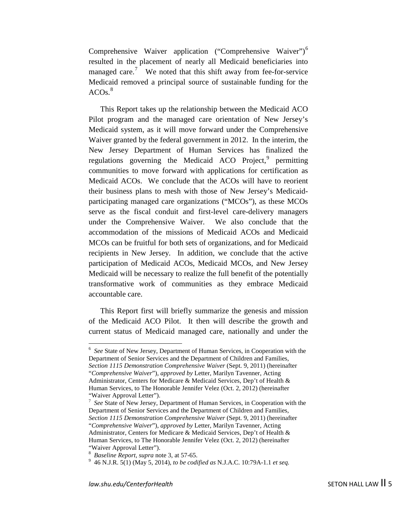<span id="page-4-4"></span>Comprehensive Waiver application ("Comprehensive Waiver")<sup>[6](#page-4-0)</sup> resulted in the placement of nearly all Medicaid beneficiaries into managed care.<sup>[7](#page-4-1)</sup> We noted that this shift away from fee-for-service Medicaid removed a principal source of sustainable funding for the ACOs. [8](#page-4-2)

This Report takes up the relationship between the Medicaid ACO Pilot program and the managed care orientation of New Jersey's Medicaid system, as it will move forward under the Comprehensive Waiver granted by the federal government in 2012. In the interim, the New Jersey Department of Human Services has finalized the regulations governing the Medicaid ACO Project,<sup>[9](#page-4-3)</sup> permitting communities to move forward with applications for certification as Medicaid ACOs. We conclude that the ACOs will have to reorient their business plans to mesh with those of New Jersey's Medicaidparticipating managed care organizations ("MCOs"), as these MCOs serve as the fiscal conduit and first-level care-delivery managers under the Comprehensive Waiver. We also conclude that the accommodation of the missions of Medicaid ACOs and Medicaid MCOs can be fruitful for both sets of organizations, and for Medicaid recipients in New Jersey. In addition, we conclude that the active participation of Medicaid ACOs, Medicaid MCOs, and New Jersey Medicaid will be necessary to realize the full benefit of the potentially transformative work of communities as they embrace Medicaid accountable care.

This Report first will briefly summarize the genesis and mission of the Medicaid ACO Pilot. It then will describe the growth and current status of Medicaid managed care, nationally and under the

<span id="page-4-0"></span> $\frac{1}{6}$  *See* State of New Jersey, Department of Human Services, in Cooperation with the Department of Senior Services and the Department of Children and Families, *Section 1115 Demonstration Comprehensive Waiver* (Sept. 9, 2011) (hereinafter "*Comprehensive Waiver*"), *approved by* Letter, Marilyn Tavenner, Acting Administrator, Centers for Medicare & Medicaid Services, Dep't of Health & Human Services, to The Honorable Jennifer Velez (Oct. 2, 2012) (hereinafter "Waiver Approval Letter").

<span id="page-4-1"></span><sup>7</sup> *See* State of New Jersey, Department of Human Services, in Cooperation with the Department of Senior Services and the Department of Children and Families, *Section 1115 Demonstration Comprehensive Waiver* (Sept. 9, 2011) (hereinafter "*Comprehensive Waiver*"), *approved by* Letter, Marilyn Tavenner, Acting Administrator, Centers for Medicare & Medicaid Services, Dep't of Health & Human Services, to The Honorable Jennifer Velez (Oct. 2, 2012) (hereinafter "Waiver Approval Letter").

<sup>&</sup>lt;sup>8</sup> *Baseline Report, supra* note [3,](#page-3-5) at 57-65.<br><sup>9</sup> 46 N J P 5(1) (May 5, 2014), to be sod:

<span id="page-4-3"></span><span id="page-4-2"></span> <sup>46</sup> N.J.R. 5(1) (May 5, 2014), *to be codified as* N.J.A.C. 10:79A-1.1 *et seq.*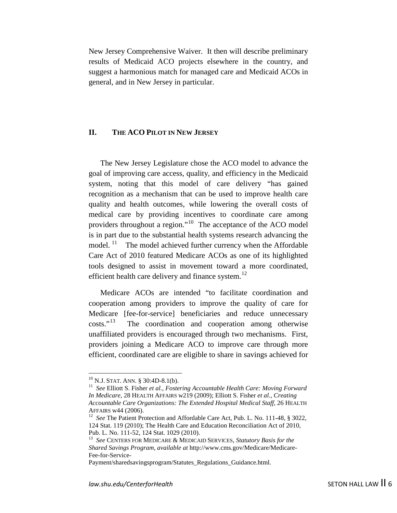New Jersey Comprehensive Waiver. It then will describe preliminary results of Medicaid ACO projects elsewhere in the country, and suggest a harmonious match for managed care and Medicaid ACOs in general, and in New Jersey in particular.

## **II. THE ACO PILOT IN NEW JERSEY**

The New Jersey Legislature chose the ACO model to advance the goal of improving care access, quality, and efficiency in the Medicaid system, noting that this model of care delivery "has gained recognition as a mechanism that can be used to improve health care quality and health outcomes, while lowering the overall costs of medical care by providing incentives to coordinate care among providers throughout a region."[10](#page-5-0) The acceptance of the ACO model is in part due to the substantial health systems research advancing the model.  $11$  The model achieved further currency when the Affordable Care Act of 2010 featured Medicare ACOs as one of its highlighted tools designed to assist in movement toward a more coordinated, efficient health care delivery and finance system. $^{12}$  $^{12}$  $^{12}$ 

Medicare ACOs are intended "to facilitate coordination and cooperation among providers to improve the quality of care for Medicare [fee-for-service] beneficiaries and reduce unnecessary costs."[13](#page-5-3) The coordination and cooperation among otherwise unaffiliated providers is encouraged through two mechanisms. First, providers joining a Medicare ACO to improve care through more efficient, coordinated care are eligible to share in savings achieved for

<span id="page-5-1"></span><span id="page-5-0"></span><sup>&</sup>lt;sup>10</sup> N.J. STAT. ANN. § 30:4D-8.1(b).<br><sup>11</sup> See Elliott S. Fisher *et al., Fostering Accountable Health Care: Moving Forward In Medicare,* 28 HEALTH AFFAIRS w219 (2009); Elliott S. Fisher *et al., Creating Accountable Care Organizations: The Extended Hospital Medical Staff, 26 HEALTH AFFAIRS w44 (2006).* 

<span id="page-5-2"></span><sup>&</sup>lt;sup>12</sup> *See* The Patient Protection and Affordable Care Act, Pub. L. No. 111-48, § 3022, 124 Stat. 119 (2010); The Health Care and Education Reconciliation Act of 2010, Pub. L. No. 111-52, 124 Stat. 1029 (2010). <sup>13</sup>*See* CENTERS FOR MEDICARE & MEDICAID SERVICES, *Statutory Basis for the* 

<span id="page-5-3"></span>*Shared Savings Program*, *available at* http://www.cms.gov/Medicare/Medicare-Fee-for-Service-

Payment/sharedsavingsprogram/Statutes\_Regulations\_Guidance.html.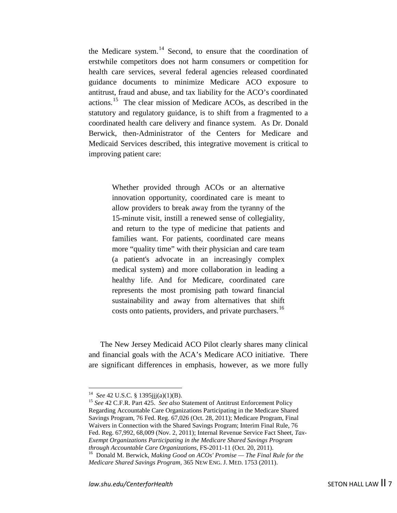the Medicare system.<sup>[14](#page-6-0)</sup> Second, to ensure that the coordination of erstwhile competitors does not harm consumers or competition for health care services, several federal agencies released coordinated guidance documents to minimize Medicare ACO exposure to antitrust, fraud and abuse, and tax liability for the ACO's coordinated actions. [15](#page-6-1) The clear mission of Medicare ACOs, as described in the statutory and regulatory guidance, is to shift from a fragmented to a coordinated health care delivery and finance system. As Dr. Donald Berwick, then-Administrator of the Centers for Medicare and Medicaid Services described, this integrative movement is critical to improving patient care:

> Whether provided through ACOs or an alternative innovation opportunity, coordinated care is meant to allow providers to break away from the tyranny of the 15-minute visit, instill a renewed sense of collegiality, and return to the type of medicine that patients and families want. For patients, coordinated care means more "quality time" with their physician and care team (a patient's advocate in an increasingly complex medical system) and more collaboration in leading a healthy life. And for Medicare, coordinated care represents the most promising path toward financial sustainability and away from alternatives that shift costs onto patients, providers, and private purchasers.<sup>[16](#page-6-2)</sup>

The New Jersey Medicaid ACO Pilot clearly shares many clinical and financial goals with the ACA's Medicare ACO initiative. There are significant differences in emphasis, however, as we more fully

<span id="page-6-1"></span><span id="page-6-0"></span><sup>&</sup>lt;sup>14</sup> See 42 U.S.C. § 1395jjj(a)(1)(B).<br><sup>15</sup> *See* 42 C.F.R. Part 425. *See also* Statement of Antitrust Enforcement Policy Regarding Accountable Care Organizations Participating in the Medicare Shared Savings Program, 76 Fed. Reg. 67,026 (Oct. 28, 2011); Medicare Program, Final Waivers in Connection with the Shared Savings Program; Interim Final Rule, 76 Fed. Reg. 67,992, 68,009 (Nov. 2, 2011); Internal Revenue Service Fact Sheet, *Tax-Exempt Organizations Participating in the Medicare Shared Savings Program* 

<span id="page-6-2"></span>*through Accountable Care Organizations*, FS-2011-11 (Oct. 20, 2011). 16 Donald M. Berwick, *Making Good on ACOs' Promise — The Final Rule for the Medicare Shared Savings Program*, 365 NEW ENG. J. MED. 1753 (2011).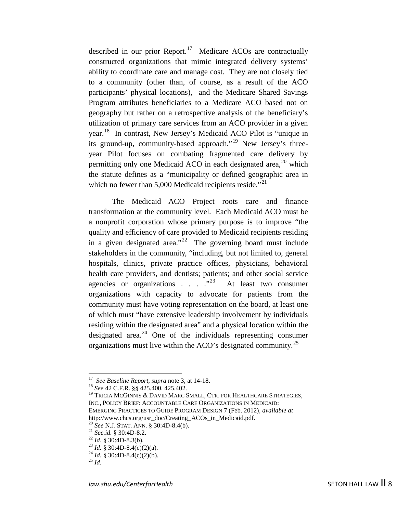<span id="page-7-9"></span>described in our prior Report.<sup>17</sup> Medicare ACOs are contractually constructed organizations that mimic integrated delivery systems' ability to coordinate care and manage cost. They are not closely tied to a community (other than, of course, as a result of the ACO participants' physical locations), and the Medicare Shared Savings Program attributes beneficiaries to a Medicare ACO based not on geography but rather on a retrospective analysis of the beneficiary's utilization of primary care services from an ACO provider in a given year.[18](#page-7-1) In contrast, New Jersey's Medicaid ACO Pilot is "unique in its ground-up, community-based approach."<sup>[19](#page-7-2)</sup> New Jersey's threeyear Pilot focuses on combating fragmented care delivery by permitting only one Medicaid ACO in each designated area, $^{20}$  $^{20}$  $^{20}$  which the statute defines as a "municipality or defined geographic area in which no fewer than  $5,000$  Medicaid recipients reside."<sup>21</sup>

<span id="page-7-11"></span>The Medicaid ACO Project roots care and finance transformation at the community level. Each Medicaid ACO must be a nonprofit corporation whose primary purpose is to improve "the quality and efficiency of care provided to Medicaid recipients residing in a given designated area."<sup>22</sup> The governing board must include stakeholders in the community, "including, but not limited to, general hospitals, clinics, private practice offices, physicians, behavioral health care providers, and dentists; patients; and other social service agencies or organizations . . . ."[23](#page-7-6)At least two consumer organizations with capacity to advocate for patients from the community must have voting representation on the board, at least one of which must "have extensive leadership involvement by individuals residing within the designated area" and a physical location within the designated area. [24](#page-7-7) One of the individuals representing consumer organizations must live within the ACO's designated community.[25](#page-7-8)

<span id="page-7-10"></span>

<span id="page-7-2"></span>

<span id="page-7-1"></span><span id="page-7-0"></span><sup>&</sup>lt;sup>17</sup> See Baseline Report, *supra* note 3, at 14-18.<br><sup>18</sup> See 42 C.F.R. §§ 425.400, 425.402.<br><sup>19</sup> TRICIA MCGINNIS & DAVID MARC SMALL, CTR. FOR HEALTHCARE STRATEGIES, INC., POLICY BRIEF: ACCOUNTABLE CARE ORGANIZATIONS IN MEDICAID: EMERGING PRACTICES TO GUIDE PROGRAM DESIGN 7 (Feb. 2012), *available at* http://www.chcs.org/usr\_doc/Creating\_ACOs\_in\_Medicaid.pdf.<br><sup>20</sup> See N.J. STAT. ANN. § 30:4D-8.4(b).<br><sup>21</sup> See.id. § 30:4D-8.2.<br><sup>22</sup> Id. § 30:4D-8.3(b).<br><sup>23</sup> Id. § 30:4D-8.4(c)(2)(a).<br><sup>24</sup> Id. § 30:4D-8.4(c)(2)(b).<br><sup>25</sup> Id.

<span id="page-7-3"></span>

<span id="page-7-5"></span><span id="page-7-4"></span>

<span id="page-7-6"></span>

<span id="page-7-8"></span><span id="page-7-7"></span>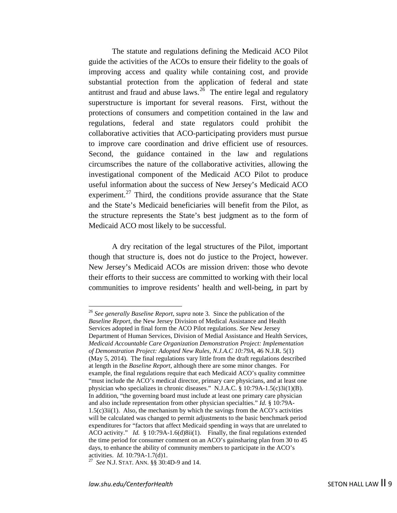The statute and regulations defining the Medicaid ACO Pilot guide the activities of the ACOs to ensure their fidelity to the goals of improving access and quality while containing cost, and provide substantial protection from the application of federal and state antitrust and fraud and abuse laws.<sup>[26](#page-8-0)</sup> The entire legal and regulatory superstructure is important for several reasons. First, without the protections of consumers and competition contained in the law and regulations, federal and state regulators could prohibit the collaborative activities that ACO-participating providers must pursue to improve care coordination and drive efficient use of resources. Second, the guidance contained in the law and regulations circumscribes the nature of the collaborative activities, allowing the investigational component of the Medicaid ACO Pilot to produce useful information about the success of New Jersey's Medicaid ACO experiment.<sup>[27](#page-8-1)</sup> Third, the conditions provide assurance that the State and the State's Medicaid beneficiaries will benefit from the Pilot, as the structure represents the State's best judgment as to the form of Medicaid ACO most likely to be successful.

A dry recitation of the legal structures of the Pilot, important though that structure is, does not do justice to the Project, however. New Jersey's Medicaid ACOs are mission driven: those who devote their efforts to their success are committed to working with their local communities to improve residents' health and well-being, in part by

<span id="page-8-0"></span> <sup>26</sup> *See generally Baseline Report*, *supra* note [3](#page-3-5)*.* Since the publication of the *Baseline Report,* the New Jersey Division of Medical Assistance and Health Services adopted in final form the ACO Pilot regulations. *See* New Jersey Department of Human Services, Division of Medial Assistance and Health Services, *Medicaid Accountable Care Organization Demonstration Project: Implementation of Demonstration Project: Adopted New Rules, N.J.A.C 10:79A,* 46 N.J.R. 5(1) (May 5, 2014). The final regulations vary little from the draft regulations described at length in the *Baseline Report,* although there are some minor changes. For example, the final regulations require that each Medicaid ACO's quality committee "must include the ACO's medical director, primary care physicians, and at least one physician who specializes in chronic diseases." N.J.A.C. § 10:79A-1.5(c)3i(1)(B). In addition, "the governing board must include at least one primary care physician and also include representation from other physician specialties." *Id.* § 10:79A-1.5(c)3ii(1). Also, the mechanism by which the savings from the ACO's activities will be calculated was changed to permit adjustments to the basic benchmark period expenditures for "factors that affect Medicaid spending in ways that are unrelated to ACO activity." *Id.* § 10:79A-1.6(d)8ii(1). Finally, the final regulations extended the time period for consumer comment on an ACO's gainsharing plan from 30 to 45 days, to enhance the ability of community members to participate in the ACO's activities. *Id.* 10:79A-1.7(d)1. 27 *See* N.J. STAT. ANN. §§ 30:4D-9 and 14.

<span id="page-8-1"></span>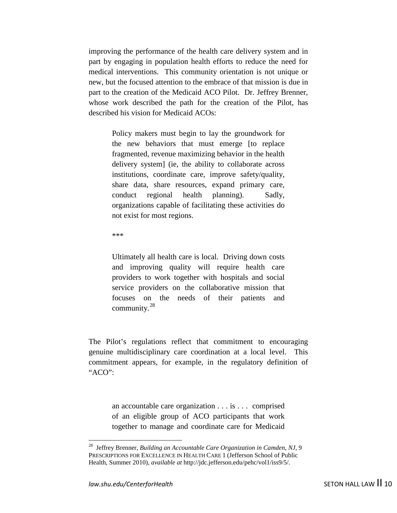improving the performance of the health care delivery system and in part by engaging in population health efforts to reduce the need for medical interventions. This community orientation is not unique or new, but the focused attention to the embrace of that mission is due in part to the creation of the Medicaid ACO Pilot. Dr. Jeffrey Brenner, whose work described the path for the creation of the Pilot, has described his vision for Medicaid ACOs:

> Policy makers must begin to lay the groundwork for the new behaviors that must emerge [to replace fragmented, revenue maximizing behavior in the health delivery system] (ie, the ability to collaborate across institutions, coordinate care, improve safety/quality, share data, share resources, expand primary care, conduct regional health planning). Sadly, organizations capable of facilitating these activities do not exist for most regions.

\*\*\*

Ultimately all health care is local. Driving down costs and improving quality will require health care providers to work together with hospitals and social service providers on the collaborative mission that focuses on the needs of their patients and community.<sup>[28](#page-9-0)</sup>

The Pilot's regulations reflect that commitment to encouraging genuine multidisciplinary care coordination at a local level. This commitment appears, for example, in the regulatory definition of "ACO":

> an accountable care organization . . . is . . . comprised of an eligible group of ACO participants that work together to manage and coordinate care for Medicaid

<span id="page-9-0"></span> <sup>28</sup> Jeffrey Brenner, *Building an Accountable Care Organization in Camden, NJ,* <sup>9</sup> PRESCRIPTIONS FOR EXCELLENCE IN HEALTH CARE 1 (Jefferson School of Public Health, Summer 2010), *available at* http://jdc.jefferson.edu/pehc/vol1/iss9/5/.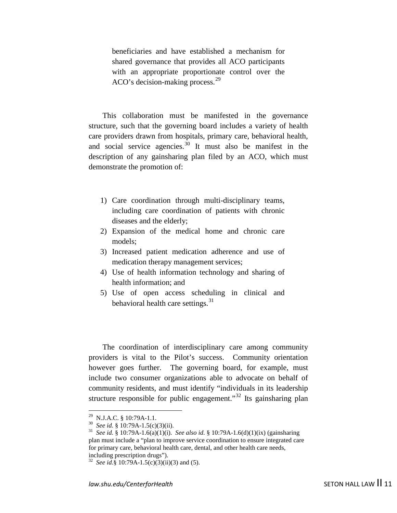beneficiaries and have established a mechanism for shared governance that provides all ACO participants with an appropriate proportionate control over the ACO's decision-making process.<sup>[29](#page-10-0)</sup>

This collaboration must be manifested in the governance structure, such that the governing board includes a variety of health care providers drawn from hospitals, primary care, behavioral health, and social service agencies. $30$  It must also be manifest in the description of any gainsharing plan filed by an ACO, which must demonstrate the promotion of:

- 1) Care coordination through multi-disciplinary teams, including care coordination of patients with chronic diseases and the elderly;
- 2) Expansion of the medical home and chronic care models;
- 3) Increased patient medication adherence and use of medication therapy management services;
- 4) Use of health information technology and sharing of health information; and
- <span id="page-10-4"></span>5) Use of open access scheduling in clinical and behavioral health care settings. $31$

The coordination of interdisciplinary care among community providers is vital to the Pilot's success. Community orientation however goes further. The governing board, for example, must include two consumer organizations able to advocate on behalf of community residents, and must identify "individuals in its leadership structure responsible for public engagement."<sup>[32](#page-10-3)</sup> Its gainsharing plan

<span id="page-10-2"></span>

<span id="page-10-1"></span><span id="page-10-0"></span> <sup>29</sup> N.J.A.C. § 10:79A-1.1. 30 *See id.* § 10:79A-1.5(c)(3)(ii). 31 *See id.* § 10:79A-1.6(a)(1)(i). *See also id.* § 10:79A-1.6(d)(1)(ix) (gainsharing plan must include a "plan to improve service coordination to ensure integrated care for primary care, behavioral health care, dental, and other health care needs, including prescription drugs").

<span id="page-10-3"></span><sup>&</sup>lt;sup>32</sup> *See id.*§ 10:79A-1.5(c)(3)(ii)(3) and (5).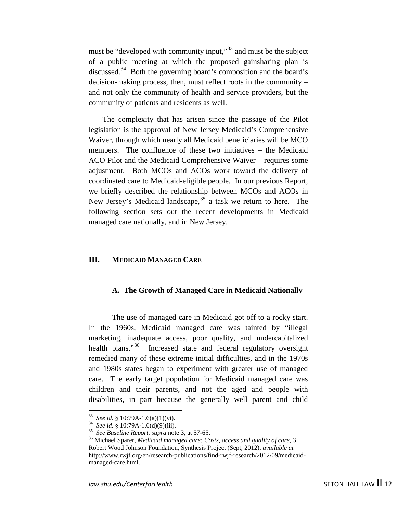must be "developed with community input,"<sup>[33](#page-11-0)</sup> and must be the subject of a public meeting at which the proposed gainsharing plan is discussed.<sup>34</sup> Both the governing board's composition and the board's decision-making process, then, must reflect roots in the community – and not only the community of health and service providers, but the community of patients and residents as well.

The complexity that has arisen since the passage of the Pilot legislation is the approval of New Jersey Medicaid's Comprehensive Waiver, through which nearly all Medicaid beneficiaries will be MCO members. The confluence of these two initiatives – the Medicaid ACO Pilot and the Medicaid Comprehensive Waiver – requires some adjustment. Both MCOs and ACOs work toward the delivery of coordinated care to Medicaid-eligible people. In our previous Report, we briefly described the relationship between MCOs and ACOs in New Jersey's Medicaid landscape,<sup>[35](#page-11-2)</sup> a task we return to here. The following section sets out the recent developments in Medicaid managed care nationally, and in New Jersey.

#### **III. MEDICAID MANAGED CARE**

#### **A. The Growth of Managed Care in Medicaid Nationally**

<span id="page-11-4"></span>The use of managed care in Medicaid got off to a rocky start. In the 1960s, Medicaid managed care was tainted by "illegal marketing, inadequate access, poor quality, and undercapitalized health plans."<sup>[36](#page-11-3)</sup> Increased state and federal regulatory oversight remedied many of these extreme initial difficulties, and in the 1970s and 1980s states began to experiment with greater use of managed care. The early target population for Medicaid managed care was children and their parents, and not the aged and people with disabilities, in part because the generally well parent and child

<span id="page-11-3"></span>

<span id="page-11-2"></span><span id="page-11-1"></span><span id="page-11-0"></span><sup>&</sup>lt;sup>33</sup> See id. § 10:79A-1.6(a)(1)(vi).<br><sup>34</sup> See id. § 10:79A-1.6(d)(9)(iii).<br><sup>35</sup> See Baseline Report, supra note [3,](#page-3-5) at 57-65.<br><sup>36</sup> Michael Sparer, *Medicaid managed care: Costs, access and quality of care*, 3 Robert Wood Johnson Foundation, Synthesis Project (Sept, 2012), *available at* http://www.rwjf.org/en/research-publications/find-rwjf-research/2012/09/medicaidmanaged-care.html.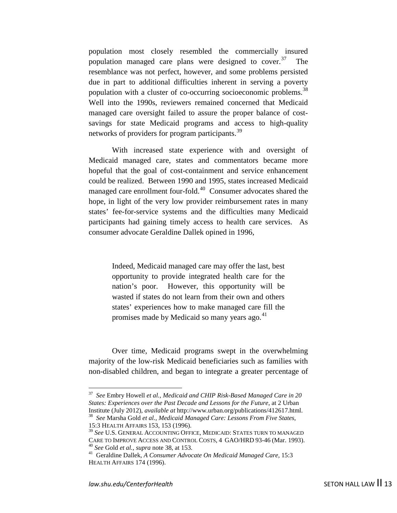<span id="page-12-7"></span><span id="page-12-0"></span>population most closely resembled the commercially insured population managed care plans were designed to cover. $37$  The resemblance was not perfect, however, and some problems persisted due in part to additional difficulties inherent in serving a poverty population with a cluster of co-occurring socioeconomic problems.<sup>[38](#page-12-2)</sup> Well into the 1990s, reviewers remained concerned that Medicaid managed care oversight failed to assure the proper balance of costsavings for state Medicaid programs and access to high-quality networks of providers for program participants.<sup>[39](#page-12-3)</sup>

With increased state experience with and oversight of Medicaid managed care, states and commentators became more hopeful that the goal of cost-containment and service enhancement could be realized. Between 1990 and 1995, states increased Medicaid managed care enrollment four-fold.<sup>40</sup> Consumer advocates shared the hope, in light of the very low provider reimbursement rates in many states' fee-for-service systems and the difficulties many Medicaid participants had gaining timely access to health care services. As consumer advocate Geraldine Dallek opined in 1996,

> <span id="page-12-6"></span>Indeed, Medicaid managed care may offer the last, best opportunity to provide integrated health care for the nation's poor. However, this opportunity will be wasted if states do not learn from their own and others states' experiences how to make managed care fill the promises made by Medicaid so many years ago.<sup>[41](#page-12-5)</sup>

Over time, Medicaid programs swept in the overwhelming majority of the low-risk Medicaid beneficiaries such as families with non-disabled children, and began to integrate a greater percentage of

<span id="page-12-1"></span> <sup>37</sup> *See* Embry Howell *et al., Medicaid and CHIP Risk-Based Managed Care in 20 States: Experiences over the Past Decade and Lessons for the Future*, at 2 Urban Institute (July 2012), *available at http://www.urban.org/publications/412617.html.* <sup>38</sup> See Marsha Gold et al., *Medicaid Managed Care: Lessons From Five States,* 

<sup>15:3</sup> HEALTH AFFAIRS 153, 153 (1996).

<span id="page-12-3"></span><span id="page-12-2"></span><sup>&</sup>lt;sup>39</sup> *See* U.S. GENERAL ACCOUNTING OFFICE, MEDICAID: STATES TURN TO MANAGED CARE TO IMPROVE ACCESS AND CONTROL COSTS, 4 GAO/HRD 93-46 (Mar. 1993). <sup>40</sup> See Gold et al., supra not[e 38,](#page-12-0) at 153.<br><sup>41</sup> Geraldine Dallek, *A Consumer Advocate On Medicaid Managed Care,* 15:3

<span id="page-12-5"></span><span id="page-12-4"></span>HEALTH AFFAIRS 174 (1996).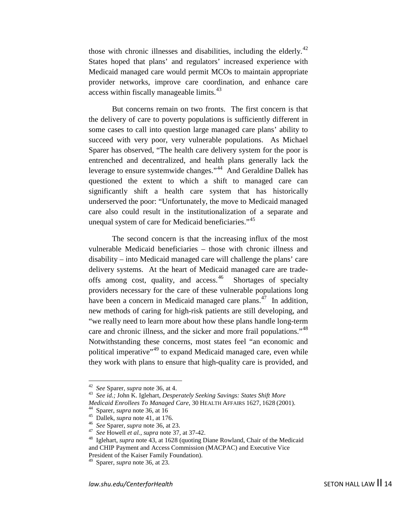those with chronic illnesses and disabilities, including the elderly. $42$ States hoped that plans' and regulators' increased experience with Medicaid managed care would permit MCOs to maintain appropriate provider networks, improve care coordination, and enhance care access within fiscally manageable limits.<sup>43</sup>

<span id="page-13-0"></span>But concerns remain on two fronts. The first concern is that the delivery of care to poverty populations is sufficiently different in some cases to call into question large managed care plans' ability to succeed with very poor, very vulnerable populations. As Michael Sparer has observed, "The health care delivery system for the poor is entrenched and decentralized, and health plans generally lack the leverage to ensure systemwide changes."[44](#page-13-3) And Geraldine Dallek has questioned the extent to which a shift to managed care can significantly shift a health care system that has historically underserved the poor: "Unfortunately, the move to Medicaid managed care also could result in the institutionalization of a separate and unequal system of care for Medicaid beneficiaries."<sup>[45](#page-13-4)</sup>

The second concern is that the increasing influx of the most vulnerable Medicaid beneficiaries – those with chronic illness and disability – into Medicaid managed care will challenge the plans' care delivery systems. At the heart of Medicaid managed care are tradeoffs among cost, quality, and access.<sup>46</sup> Shortages of specialty providers necessary for the care of these vulnerable populations long have been a concern in Medicaid managed care plans.<sup>[47](#page-13-6)</sup> In addition, new methods of caring for high-risk patients are still developing, and "we really need to learn more about how these plans handle long-term care and chronic illness, and the sicker and more frail populations."<sup>[48](#page-13-7)</sup> Notwithstanding these concerns, most states feel "an economic and political imperative<sup>",[49](#page-13-8)</sup> to expand Medicaid managed care, even while they work with plans to ensure that high-quality care is provided, and

<span id="page-13-2"></span><span id="page-13-1"></span><sup>42</sup>*See* Sparer, *supra* note [36,](#page-11-4) at 4. 43 *See id.;* John K. Iglehart, *Desperately Seeking Savings: States Shift More* 

<span id="page-13-4"></span>

<span id="page-13-6"></span><span id="page-13-5"></span>

<span id="page-13-7"></span>

<span id="page-13-3"></span>*Medicaid Enrollees To Managed Care,* 30 HEALTH AFFAIRS 1627, 1628 (2001).<br><sup>44</sup> Sparer, *supra* note [36,](#page-11-4) at 16<br><sup>45</sup> Dallek, *supra* note [41,](#page-12-6) at 176.<br><sup>46</sup> See Sparer, *supra* note 36, at 23.<br><sup>47</sup> See Howell *et al., supra* and CHIP Payment and Access Commission (MACPAC) and Executive Vice President of the Kaiser Family Foundation).

<span id="page-13-8"></span><sup>49</sup> Sparer, *supra* note [36,](#page-11-4) at 23.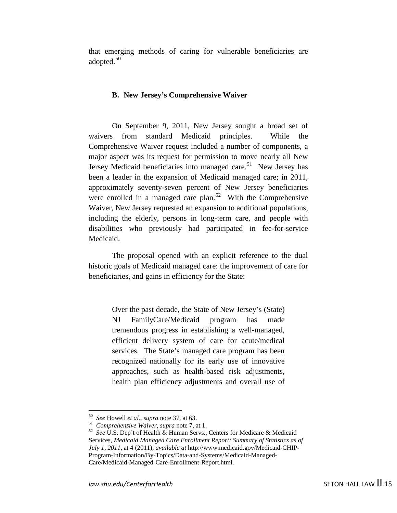that emerging methods of caring for vulnerable beneficiaries are adopted.<sup>[50](#page-14-0)</sup>

#### **B. New Jersey's Comprehensive Waiver**

On September 9, 2011, New Jersey sought a broad set of waivers from standard Medicaid principles. While the Comprehensive Waiver request included a number of components, a major aspect was its request for permission to move nearly all New Jersey Medicaid beneficiaries into managed care.<sup>[51](#page-14-1)</sup> New Jersey has been a leader in the expansion of Medicaid managed care; in 2011, approximately seventy-seven percent of New Jersey beneficiaries were enrolled in a managed care plan.<sup>52</sup> With the Comprehensive Waiver, New Jersey requested an expansion to additional populations, including the elderly, persons in long-term care, and people with disabilities who previously had participated in fee-for-service Medicaid.

The proposal opened with an explicit reference to the dual historic goals of Medicaid managed care: the improvement of care for beneficiaries, and gains in efficiency for the State:

> Over the past decade, the State of New Jersey's (State) NJ FamilyCare/Medicaid program has made tremendous progress in establishing a well-managed, efficient delivery system of care for acute/medical services. The State's managed care program has been recognized nationally for its early use of innovative approaches, such as health-based risk adjustments, health plan efficiency adjustments and overall use of

<span id="page-14-2"></span><span id="page-14-1"></span><span id="page-14-0"></span><sup>&</sup>lt;sup>50</sup> See Howell *et al., supra* note [37,](#page-12-7) at 63.<br><sup>51</sup> *Comprehensive Waiver, supra* note 7, at 1.<br><sup>52</sup> *See* U.S. Dep't of Health & Human Servs., Centers for Medicare & Medicaid Services, *Medicaid Managed Care Enrollment Report: Summary of Statistics as of July 1, 2011*, at 4 (2011), *available at* http://www.medicaid.gov/Medicaid-CHIP-Program-Information/By-Topics/Data-and-Systems/Medicaid-Managed-Care/Medicaid-Managed-Care-Enrollment-Report.html.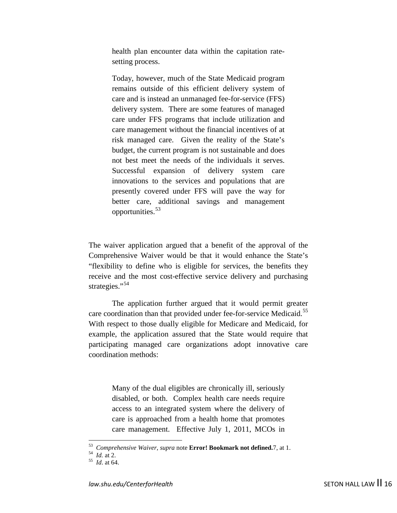health plan encounter data within the capitation ratesetting process.

Today, however, much of the State Medicaid program remains outside of this efficient delivery system of care and is instead an unmanaged fee-for-service (FFS) delivery system. There are some features of managed care under FFS programs that include utilization and care management without the financial incentives of at risk managed care. Given the reality of the State's budget, the current program is not sustainable and does not best meet the needs of the individuals it serves. Successful expansion of delivery system care innovations to the services and populations that are presently covered under FFS will pave the way for better care, additional savings and management opportunities.[53](#page-15-0)

The waiver application argued that a benefit of the approval of the Comprehensive Waiver would be that it would enhance the State's "flexibility to define who is eligible for services, the benefits they receive and the most cost-effective service delivery and purchasing strategies."<sup>[54](#page-15-1)</sup>

The application further argued that it would permit greater care coordination than that provided under fee-for-service Medicaid.<sup>[55](#page-15-2)</sup> With respect to those dually eligible for Medicare and Medicaid, for example, the application assured that the State would require that participating managed care organizations adopt innovative care coordination methods:

> Many of the dual eligibles are chronically ill, seriously disabled, or both. Complex health care needs require access to an integrated system where the delivery of care is approached from a health home that promotes care management. Effective July 1, 2011, MCOs in

<span id="page-15-0"></span><sup>53</sup>*Comprehensive Waiver*, *supra* note **Error! Bookmark not defined.**[7,](#page-4-4) at 1. <sup>54</sup>*Id.* at 2. <sup>55</sup>*Id*. at 64.

<span id="page-15-1"></span>

<span id="page-15-2"></span>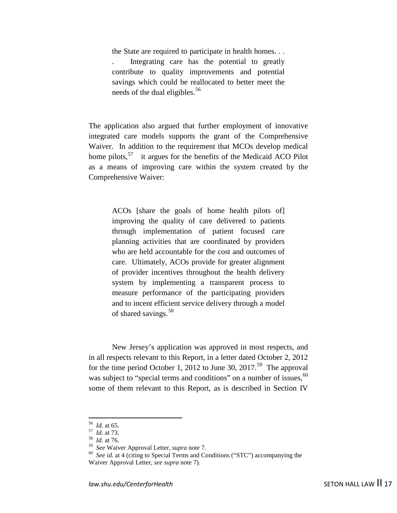the State are required to participate in health homes. . .

. Integrating care has the potential to greatly contribute to quality improvements and potential savings which could be reallocated to better meet the needs of the dual eligibles.<sup>[56](#page-16-0)</sup>

The application also argued that further employment of innovative integrated care models supports the grant of the Comprehensive Waiver. In addition to the requirement that MCOs develop medical home pilots,<sup>57</sup> it argues for the benefits of the Medicaid ACO Pilot as a means of improving care within the system created by the Comprehensive Waiver:

> ACOs [share the goals of home health pilots of] improving the quality of care delivered to patients through implementation of patient focused care planning activities that are coordinated by providers who are held accountable for the cost and outcomes of care. Ultimately, ACOs provide for greater alignment of provider incentives throughout the health delivery system by implementing a transparent process to measure performance of the participating providers and to incent efficient service delivery through a model of shared savings.<sup>[58](#page-16-2)</sup>

<span id="page-16-5"></span>New Jersey's application was approved in most respects, and in all respects relevant to this Report, in a letter dated October 2, 2012 for the time period October 1, 2012 to June 30, 2017.<sup>59</sup> The approval was subject to "special terms and conditions" on a number of issues,  $60$ some of them relevant to this Report, as is described in Section IV

<span id="page-16-2"></span><span id="page-16-1"></span>

<span id="page-16-3"></span>

<span id="page-16-0"></span><sup>&</sup>lt;sup>56</sup> *Id.* at 65.<br><sup>57</sup> *Id.* at 73.<br><sup>58</sup> *Id.* at 76.<br><sup>59</sup> *See* Waiver Approval Letter, *supra* note 7.

<span id="page-16-4"></span><sup>&</sup>lt;sup>60</sup> See id. at 4 (citing to Special Terms and Conditions ("STC") accompanying the Waiver Approval Letter, *see supra* note [7\)](#page-4-4).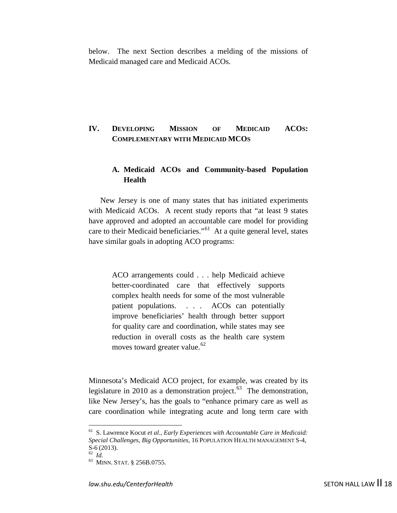below. The next Section describes a melding of the missions of Medicaid managed care and Medicaid ACOs.

# **IV. DEVELOPING MISSION OF MEDICAID ACOS: COMPLEMENTARY WITH MEDICAID MCOS**

# **A. Medicaid ACOs and Community-based Population Health**

New Jersey is one of many states that has initiated experiments with Medicaid ACOs. A recent study reports that "at least 9 states have approved and adopted an accountable care model for providing care to their Medicaid beneficiaries."[61](#page-17-0) At a quite general level, states have similar goals in adopting ACO programs:

> <span id="page-17-3"></span>ACO arrangements could . . . help Medicaid achieve better-coordinated care that effectively supports complex health needs for some of the most vulnerable patient populations. . . . ACOs can potentially improve beneficiaries' health through better support for quality care and coordination, while states may see reduction in overall costs as the health care system moves toward greater value.<sup>[62](#page-17-1)</sup>

Minnesota's Medicaid ACO project, for example, was created by its legislature in 2010 as a demonstration project. $63$  The demonstration, like New Jersey's, has the goals to "enhance primary care as well as care coordination while integrating acute and long term care with

<span id="page-17-0"></span> <sup>61</sup> S. Lawrence Kocut *et al., Early Experiences with Accountable Care in Medicaid: Special Challenges, Big Opportunities,* 16 POPULATION HEALTH MANAGEMENT S-4, S-6 (2013).<br><sup>62</sup>*Id.* <sup>63</sup> MINN. STAT. § 256B.0755.

<span id="page-17-2"></span><span id="page-17-1"></span>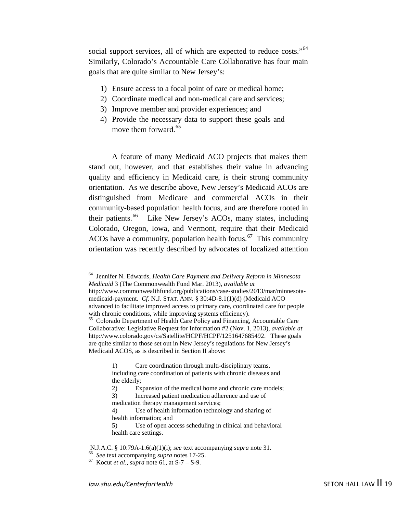social support services, all of which are expected to reduce costs."<sup>[64](#page-18-0)</sup> Similarly, Colorado's Accountable Care Collaborative has four main goals that are quite similar to New Jersey's:

- 1) Ensure access to a focal point of care or medical home;
- 2) Coordinate medical and non-medical care and services;
- 3) Improve member and provider experiences; and
- 4) Provide the necessary data to support these goals and move them forward.<sup>[65](#page-18-1)</sup>

A feature of many Medicaid ACO projects that makes them stand out, however, and that establishes their value in advancing quality and efficiency in Medicaid care, is their strong community orientation. As we describe above, New Jersey's Medicaid ACOs are distinguished from Medicare and commercial ACOs in their community-based population health focus, and are therefore rooted in their patients.<sup>66</sup> Like New Jersey's ACOs, many states, including Colorado, Oregon, Iowa, and Vermont, require that their Medicaid ACOs have a community, population health focus.<sup>67</sup> This community orientation was recently described by advocates of localized attention

medication therapy management services;

<span id="page-18-0"></span> <sup>64</sup> Jennifer N. Edwards, *Health Care Payment and Delivery Reform in Minnesota Medicaid* 3 (The Commonwealth Fund Mar. 2013), *available at* http://www.commonwealthfund.org/publications/case-studies/2013/mar/minnesotamedicaid-payment. *Cf.* N.J. STAT. ANN. § 30:4D-8.1(1)(d) (Medicaid ACO advanced to facilitate improved access to primary care, coordinated care for people

<span id="page-18-1"></span><sup>&</sup>lt;sup>65</sup> Colorado Department of Health Care Policy and Financing, Accountable Care Collaborative: Legislative Request for Information #2 (Nov. 1, 2013), *available at* http://www.colorado.gov/cs/Satellite/HCPF/HCPF/1251647685492. These goals are quite similar to those set out in New Jersey's regulations for New Jersey's Medicaid ACOS, as is described in Section II above:

<sup>1)</sup> Care coordination through multi-disciplinary teams, including care coordination of patients with chronic diseases and the elderly;

<sup>2)</sup> Expansion of the medical home and chronic care models; 3) Increased patient medication adherence and use of

<sup>4)</sup> Use of health information technology and sharing of health information; and

<sup>5)</sup> Use of open access scheduling in clinical and behavioral health care settings.

N.J.A.C. § 10:79A-1.6(a)(1)(i); *see* text accompanying *supra* note [31.](#page-10-4) 66 *See* text accompanying *supra* notes 17-25. 67 Kocut *et al.*, *supra* note [61,](#page-17-3) at S-7 – S-9.

<span id="page-18-3"></span><span id="page-18-2"></span>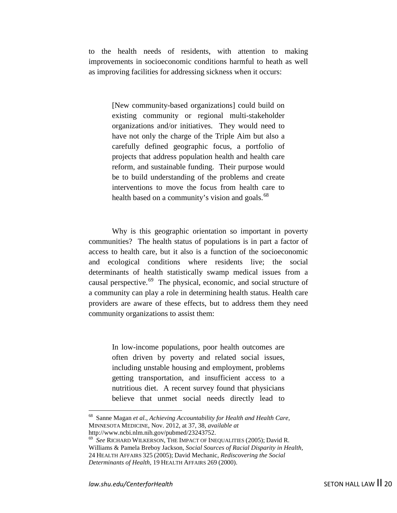to the health needs of residents, with attention to making improvements in socioeconomic conditions harmful to heath as well as improving facilities for addressing sickness when it occurs:

> [New community-based organizations] could build on existing community or regional multi-stakeholder organizations and/or initiatives. They would need to have not only the charge of the Triple Aim but also a carefully defined geographic focus, a portfolio of projects that address population health and health care reform, and sustainable funding. Their purpose would be to build understanding of the problems and create interventions to move the focus from health care to health based on a community's vision and goals.<sup>[68](#page-19-0)</sup>

Why is this geographic orientation so important in poverty communities? The health status of populations is in part a factor of access to health care, but it also is a function of the socioeconomic and ecological conditions where residents live; the social determinants of health statistically swamp medical issues from a causal perspective.[69](#page-19-1) The physical, economic, and social structure of a community can play a role in determining health status. Health care providers are aware of these effects, but to address them they need community organizations to assist them:

> In low-income populations, poor health outcomes are often driven by poverty and related social issues, including unstable housing and employment, problems getting transportation, and insufficient access to a nutritious diet. A recent survey found that physicians believe that unmet social needs directly lead to

<span id="page-19-0"></span> <sup>68</sup> Sanne Magan *et al., Achieving Accountability for Health and Health Care,*  MINNESOTA MEDICINE, Nov. 2012, at 37, 38, *available at*

<span id="page-19-1"></span> $h^{69}$  *See* RICHARD WILKERSON, THE IMPACT OF INEQUALITIES (2005); David R. Williams & Pamela Breboy Jackson, *Social Sources of Racial Disparity in Health,*  24 HEALTH AFFAIRS 325 (2005); David Mechanic, *Rediscovering the Social Determinants of Health,* 19 HEALTH AFFAIRS 269 (2000).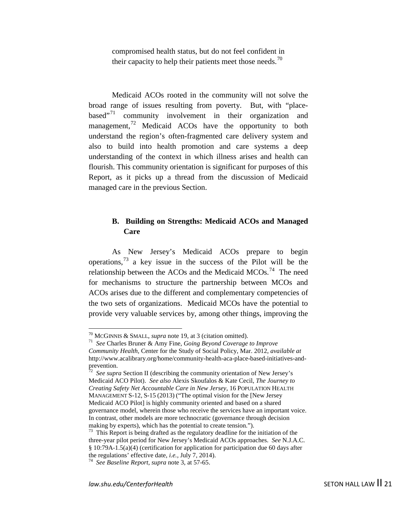compromised health status, but do not feel confident in their capacity to help their patients meet those needs.<sup>[70](#page-20-0)</sup>

Medicaid ACOs rooted in the community will not solve the broad range of issues resulting from poverty. But, with "placebased $^{71}$  $^{71}$  $^{71}$  community involvement in their organization and management, $^{72}$  $^{72}$  $^{72}$  Medicaid ACOs have the opportunity to both understand the region's often-fragmented care delivery system and also to build into health promotion and care systems a deep understanding of the context in which illness arises and health can flourish. This community orientation is significant for purposes of this Report, as it picks up a thread from the discussion of Medicaid managed care in the previous Section.

# **B. Building on Strengths: Medicaid ACOs and Managed Care**

As New Jersey's Medicaid ACOs prepare to begin operations,<sup>[73](#page-20-3)</sup> a key issue in the success of the Pilot will be the relationship between the ACOs and the Medicaid MCOs.<sup>74</sup> The need for mechanisms to structure the partnership between MCOs and ACOs arises due to the different and complementary competencies of the two sets of organizations. Medicaid MCOs have the potential to provide very valuable services by, among other things, improving the

<span id="page-20-0"></span><sup>70</sup> MCGINNIS & SMALL, *supra* note 19, at 3 (citation omitted). 71 *See* Charles Bruner & Amy Fine, *Going Beyond Coverage to Improve* 

<span id="page-20-1"></span>*Community Health,* Center for the Study of Social Policy, Mar. 2012, *available at* http://www.acalibrary.org/home/community-health-aca-place-based-initiatives-and-

<span id="page-20-2"></span>prevention.<br><sup>72</sup> *See supra* Section II (describing the community orientation of New Jersey's Medicaid ACO Pilot). *See also* Alexis Skoufalos & Kate Cecil, *The Journey to Creating Safety Net Accountable Care in New Jersey,* 16 POPULATION HEALTH MANAGEMENT S-12, S-15 (2013) ("The optimal vision for the [New Jersey Medicaid ACO Pilot] is highly community oriented and based on a shared governance model, wherein those who receive the services have an important voice. In contrast, other models are more technocratic (governance through decision making by experts), which has the potential to create tension.").

<span id="page-20-3"></span><sup>&</sup>lt;sup>73</sup> This Report is being drafted as the regulatory deadline for the initiation of the three-year pilot period for New Jersey's Medicaid ACOs approaches. *See* N.J.A.C. § 10:79A-1.5(a)(4) (certification for application for participation due 60 days after the regulations' effective date, *i.e.*, July 7, 2014).

<span id="page-20-4"></span><sup>&</sup>lt;sup>74</sup> See Baseline Report, *supra* note [3,](#page-3-5) at 57-65.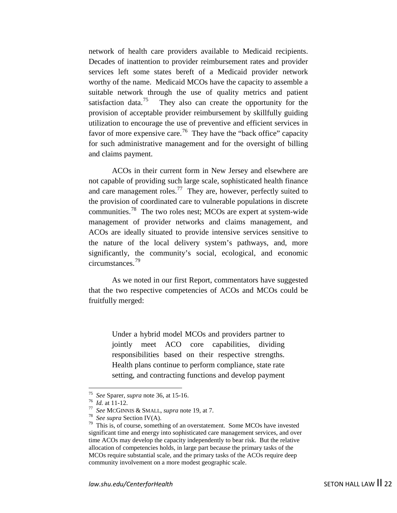network of health care providers available to Medicaid recipients. Decades of inattention to provider reimbursement rates and provider services left some states bereft of a Medicaid provider network worthy of the name. Medicaid MCOs have the capacity to assemble a suitable network through the use of quality metrics and patient satisfaction data.<sup>[75](#page-21-0)</sup> They also can create the opportunity for the provision of acceptable provider reimbursement by skillfully guiding utilization to encourage the use of preventive and efficient services in favor of more expensive care.<sup>[76](#page-21-1)</sup> They have the "back office" capacity for such administrative management and for the oversight of billing and claims payment.

ACOs in their current form in New Jersey and elsewhere are not capable of providing such large scale, sophisticated health finance and care management roles.<sup>77</sup> They are, however, perfectly suited to the provision of coordinated care to vulnerable populations in discrete communities.<sup>[78](#page-21-3)</sup> The two roles nest; MCOs are expert at system-wide management of provider networks and claims management, and ACOs are ideally situated to provide intensive services sensitive to the nature of the local delivery system's pathways, and, more significantly, the community's social, ecological, and economic circumstances.[79](#page-21-4)

As we noted in our first Report, commentators have suggested that the two respective competencies of ACOs and MCOs could be fruitfully merged:

> Under a hybrid model MCOs and providers partner to jointly meet ACO core capabilities, dividing responsibilities based on their respective strengths. Health plans continue to perform compliance, state rate setting, and contracting functions and develop payment

<span id="page-21-4"></span><span id="page-21-3"></span><span id="page-21-2"></span>

<span id="page-21-1"></span><span id="page-21-0"></span><sup>&</sup>lt;sup>75</sup> See Sparer, *supra* note [36,](#page-11-4) at 15-16.<br><sup>76</sup> Id. at 11-12.<br><sup>77</sup> See MCGINNIS & SMALL, *supra* note [19,](#page-7-11) at 7.<br><sup>78</sup> See supra Section IV(A).<br><sup>79</sup> This is, of course, something of an overstatement. Some MCOs have investe significant time and energy into sophisticated care management services, and over time ACOs may develop the capacity independently to bear risk. But the relative allocation of competencies holds, in large part because the primary tasks of the MCOs require substantial scale, and the primary tasks of the ACOs require deep community involvement on a more modest geographic scale.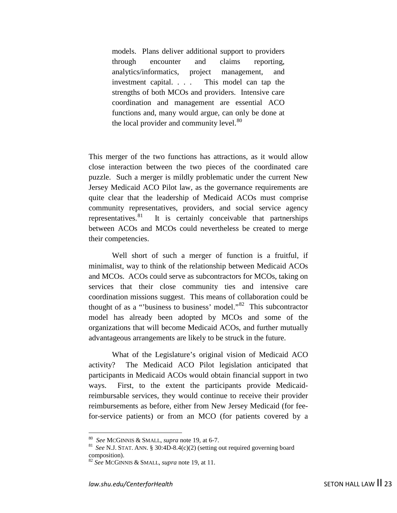models. Plans deliver additional support to providers through encounter and claims reporting, analytics/informatics, project management, and investment capital. . . . This model can tap the strengths of both MCOs and providers. Intensive care coordination and management are essential ACO functions and, many would argue, can only be done at the local provider and community level.<sup>[80](#page-22-0)</sup>

This merger of the two functions has attractions, as it would allow close interaction between the two pieces of the coordinated care puzzle. Such a merger is mildly problematic under the current New Jersey Medicaid ACO Pilot law, as the governance requirements are quite clear that the leadership of Medicaid ACOs must comprise community representatives, providers, and social service agency representatives. $81$  It is certainly conceivable that partnerships between ACOs and MCOs could nevertheless be created to merge their competencies.

Well short of such a merger of function is a fruitful, if minimalist, way to think of the relationship between Medicaid ACOs and MCOs. ACOs could serve as subcontractors for MCOs, taking on services that their close community ties and intensive care coordination missions suggest. This means of collaboration could be thought of as a "'business to business' model."[82](#page-22-2) This subcontractor model has already been adopted by MCOs and some of the organizations that will become Medicaid ACOs, and further mutually advantageous arrangements are likely to be struck in the future.

What of the Legislature's original vision of Medicaid ACO activity? The Medicaid ACO Pilot legislation anticipated that participants in Medicaid ACOs would obtain financial support in two ways. First, to the extent the participants provide Medicaidreimbursable services, they would continue to receive their provider reimbursements as before, either from New Jersey Medicaid (for feefor-service patients) or from an MCO (for patients covered by a

<span id="page-22-1"></span>

<span id="page-22-0"></span><sup>&</sup>lt;sup>80</sup> *See* MCGINNIS & SMALL, *supra* note [19,](#page-7-11) at 6-7.<br><sup>81</sup> *See* N.J. STAT. ANN. § 30:4D-8.4(c)(2) (setting out required governing board composition).

<span id="page-22-2"></span><sup>&</sup>lt;sup>82</sup> See MCGINNIS & SMALL, *supra* note [19,](#page-7-11) at 11.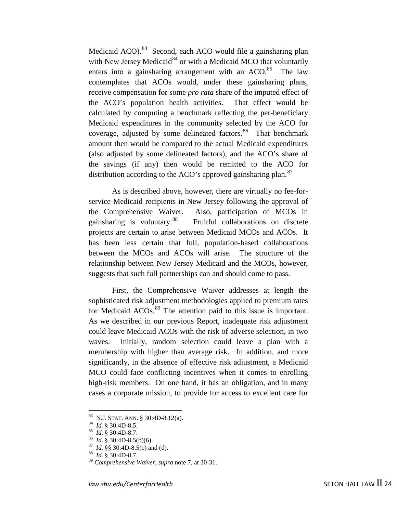Medicaid ACO).<sup>[83](#page-23-0)</sup> Second, each ACO would file a gainsharing plan with New Jersey Medicaid<sup>[84](#page-23-1)</sup> or with a Medicaid MCO that voluntarily enters into a gainsharing arrangement with an  $ACO$ .<sup>[85](#page-23-2)</sup> The law contemplates that ACOs would, under these gainsharing plans, receive compensation for some *pro rata* share of the imputed effect of the ACO's population health activities. That effect would be calculated by computing a benchmark reflecting the per-beneficiary Medicaid expenditures in the community selected by the ACO for coverage, adjusted by some delineated factors.<sup>86</sup> That benchmark amount then would be compared to the actual Medicaid expenditures (also adjusted by some delineated factors), and the ACO's share of the savings (if any) then would be remitted to the ACO for distribution according to the ACO's approved gainsharing plan.<sup>[87](#page-23-4)</sup>

As is described above, however, there are virtually no fee-forservice Medicaid recipients in New Jersey following the approval of the Comprehensive Waiver. Also, participation of MCOs in gainsharing is voluntary.<sup>[88](#page-23-5)</sup> Fruitful collaborations on discrete projects are certain to arise between Medicaid MCOs and ACOs. It has been less certain that full, population-based collaborations between the MCOs and ACOs will arise. The structure of the relationship between New Jersey Medicaid and the MCOs, however, suggests that such full partnerships can and should come to pass.

First, the Comprehensive Waiver addresses at length the sophisticated risk adjustment methodologies applied to premium rates for Medicaid ACOs.<sup>[89](#page-23-6)</sup> The attention paid to this issue is important. As we described in our previous Report, inadequate risk adjustment could leave Medicaid ACOs with the risk of adverse selection, in two waves. Initially, random selection could leave a plan with a membership with higher than average risk. In addition, and more significantly, in the absence of effective risk adjustment, a Medicaid MCO could face conflicting incentives when it comes to enrolling high-risk members. On one hand, it has an obligation, and in many cases a corporate mission, to provide for access to excellent care for

<span id="page-23-1"></span><span id="page-23-0"></span><sup>83</sup> N.J. STAT. ANN. § 30:4D-8.12(a).<br><sup>84</sup> *Id.* § 30:4D-8.5.<br><sup>85</sup> *Id.* § 30:4D-8.5(b)(6).<br><sup>87</sup> *Id.* §§ 30:4D-8.5(c) and (d).<br><sup>87</sup> *Id.* §§ 30:4D-8.5(c) and (d).<br><sup>88</sup> *Id.* § 30:4D-8.7.

<span id="page-23-4"></span><span id="page-23-3"></span><span id="page-23-2"></span>

<span id="page-23-6"></span><span id="page-23-5"></span><sup>89</sup> *Comprehensive Waiver*, *supra* note [7,](#page-4-4) at 30-31.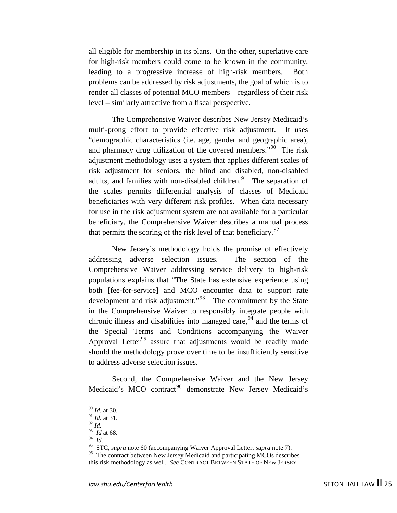all eligible for membership in its plans. On the other, superlative care for high-risk members could come to be known in the community, leading to a progressive increase of high-risk members. Both problems can be addressed by risk adjustments, the goal of which is to render all classes of potential MCO members – regardless of their risk level – similarly attractive from a fiscal perspective.

The Comprehensive Waiver describes New Jersey Medicaid's multi-prong effort to provide effective risk adjustment. It uses "demographic characteristics (i.e. age, gender and geographic area), and pharmacy drug utilization of the covered members."<sup>90</sup> The risk adjustment methodology uses a system that applies different scales of risk adjustment for seniors, the blind and disabled, non-disabled adults, and families with non-disabled children. $91$  The separation of the scales permits differential analysis of classes of Medicaid beneficiaries with very different risk profiles. When data necessary for use in the risk adjustment system are not available for a particular beneficiary, the Comprehensive Waiver describes a manual process that permits the scoring of the risk level of that beneficiary.<sup>92</sup>

New Jersey's methodology holds the promise of effectively addressing adverse selection issues. The section of the Comprehensive Waiver addressing service delivery to high-risk populations explains that "The State has extensive experience using both [fee-for-service] and MCO encounter data to support rate development and risk adjustment."<sup>[93](#page-24-3)</sup> The commitment by the State in the Comprehensive Waiver to responsibly integrate people with chronic illness and disabilities into managed care,  $94$  and the terms of the Special Terms and Conditions accompanying the Waiver Approval Letter<sup>[95](#page-24-5)</sup> assure that adjustments would be readily made should the methodology prove over time to be insufficiently sensitive to address adverse selection issues.

<span id="page-24-7"></span>Second, the Comprehensive Waiver and the New Jersey Medicaid's MCO contract<sup>[96](#page-24-6)</sup> demonstrate New Jersey Medicaid's

 <sup>90</sup> *Id.* at 30.

<span id="page-24-1"></span><span id="page-24-0"></span><sup>91</sup> *Id.* at 31.

<span id="page-24-2"></span><sup>92</sup> *Id.*

<span id="page-24-3"></span><sup>93</sup> *Id* at 68.

<span id="page-24-5"></span><span id="page-24-4"></span><sup>&</sup>lt;sup>94</sup> *Id. SSTC, supra* note 60 (accompanying Waiver Approval Letter, *supra* note 7).

<span id="page-24-6"></span><sup>&</sup>lt;sup>96</sup> The contract between New Jersey Medicaid and participating MCOs describes this risk methodology as well. *See* CONTRACT BETWEEN STATE OF NEW JERSEY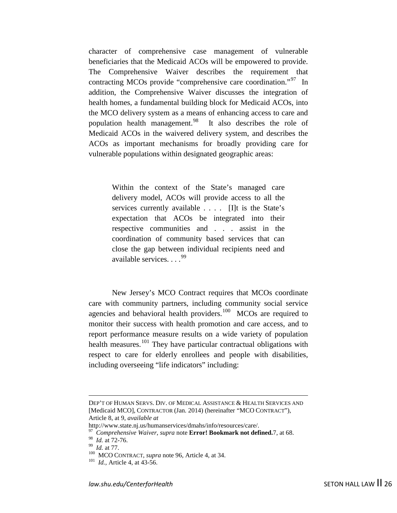character of comprehensive case management of vulnerable beneficiaries that the Medicaid ACOs will be empowered to provide. The Comprehensive Waiver describes the requirement that contracting MCOs provide "comprehensive care coordination."<sup>97</sup> In addition, the Comprehensive Waiver discusses the integration of health homes, a fundamental building block for Medicaid ACOs, into the MCO delivery system as a means of enhancing access to care and population health management.<sup>[98](#page-25-1)</sup> It also describes the role of Medicaid ACOs in the waivered delivery system, and describes the ACOs as important mechanisms for broadly providing care for vulnerable populations within designated geographic areas:

> Within the context of the State's managed care delivery model, ACOs will provide access to all the services currently available . . . . [I]t is the State's expectation that ACOs be integrated into their respective communities and . . . assist in the coordination of community based services that can close the gap between individual recipients need and available services....<sup>[99](#page-25-2)</sup>

New Jersey's MCO Contract requires that MCOs coordinate care with community partners, including community social service agencies and behavioral health providers.<sup>100</sup> MCOs are required to monitor their success with health promotion and care access, and to report performance measure results on a wide variety of population health measures.<sup>[101](#page-25-4)</sup> They have particular contractual obligations with respect to care for elderly enrollees and people with disabilities, including overseeing "life indicators" including:

<u>.</u>

DEP'T OF HUMAN SERVS. DIV. OF MEDICAL ASSISTANCE & HEALTH SERVICES AND [Medicaid MCO], CONTRACTOR (Jan. 2014) (hereinafter "MCO CONTRACT"), Article 8, at 9, *available at*

<span id="page-25-0"></span>http://www.state.nj.us/humanservices/dmahs/info/resources/care/. <sup>97</sup>*Comprehensive Waiver*, *supra* note **Error! Bookmark not defined.**[7,](#page-4-4) at 68.

<span id="page-25-3"></span><span id="page-25-2"></span><span id="page-25-1"></span><sup>&</sup>lt;sup>99</sup> *Id.* at 77. 100 MCO CONTRACT, *supra* note [96,](#page-24-7) Article 4, at 34. 101 *Id.*, Article 4, at 43-56.

<span id="page-25-4"></span>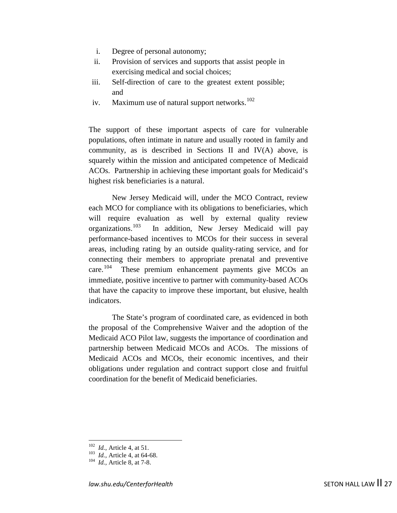- i. Degree of personal autonomy;
- ii. Provision of services and supports that assist people in exercising medical and social choices;
- iii. Self-direction of care to the greatest extent possible; and
- iv. Maximum use of natural support networks. $102$

The support of these important aspects of care for vulnerable populations, often intimate in nature and usually rooted in family and community, as is described in Sections II and IV(A) above, is squarely within the mission and anticipated competence of Medicaid ACOs. Partnership in achieving these important goals for Medicaid's highest risk beneficiaries is a natural.

New Jersey Medicaid will, under the MCO Contract, review each MCO for compliance with its obligations to beneficiaries, which will require evaluation as well by external quality review organizations.[103](#page-26-1) In addition, New Jersey Medicaid will pay performance-based incentives to MCOs for their success in several areas, including rating by an outside quality-rating service, and for connecting their members to appropriate prenatal and preventive care.<sup>104</sup> These premium enhancement payments give MCOs an immediate, positive incentive to partner with community-based ACOs that have the capacity to improve these important, but elusive, health indicators.

The State's program of coordinated care, as evidenced in both the proposal of the Comprehensive Waiver and the adoption of the Medicaid ACO Pilot law, suggests the importance of coordination and partnership between Medicaid MCOs and ACOs. The missions of Medicaid ACOs and MCOs, their economic incentives, and their obligations under regulation and contract support close and fruitful coordination for the benefit of Medicaid beneficiaries.

<span id="page-26-0"></span><sup>102</sup>*Id.*, Article 4, at 51. 103 *Id.,* Article 4, at 64-68. 104 *Id.,* Article 8, at 7-8.

<span id="page-26-2"></span><span id="page-26-1"></span>